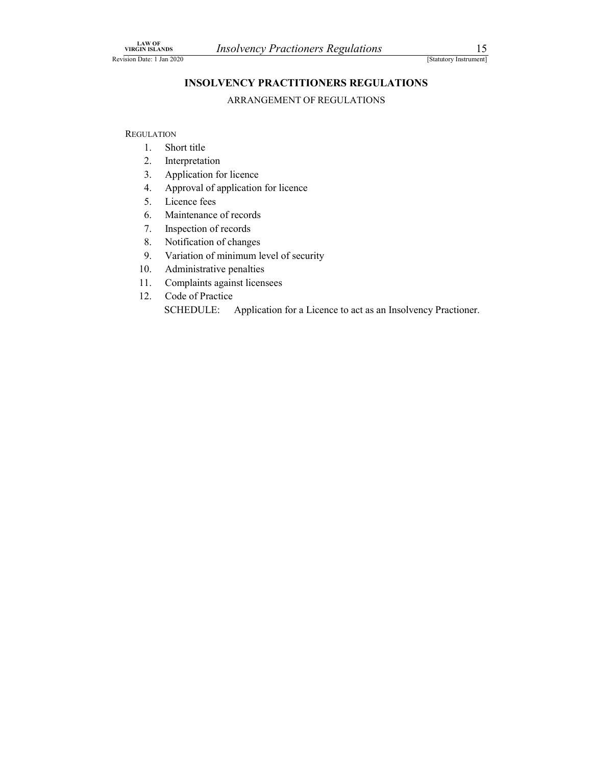# LAW OF<br>
VIRGIN ISLANDS<br>
INSOLVENCY PRACTITIONERS REGULATIONS<br>
INSOLVENCY PRACTITIONERS REGULATIONS<br>
ARRANGEMENT OF REGULATIONS VIRGIN ISLANDS<br>
INSOLVENCY PRACTITIONERS REGULATIONS<br>
INSOLVENCY PRACTITIONERS REGULATIONS<br>
ARRANGEMENT OF REGULATIONS INSOLVENCY PRACTITIONERS REGULATIONS Solvency Practioners Regulations<br>
[Statutory Instrument]<br>
ENCY PRACTITIONERS REGULATIONS<br>
ARRANGEMENT OF REGULATIONS

**REGULATION** 

- 1. Short title
- 2. Interpretation
- 3. Application for licence
- 4. Approval of application for licence
- 5. Licence fees
- 6. Maintenance of records
- 7. Inspection of records
- 8. Notification of changes
- 9. Variation of minimum level of security
- 10. Administrative penalties
- 11. Complaints against licensees
- 12. Code of Practice

SCHEDULE: Application for a Licence to act as an Insolvency Practioner.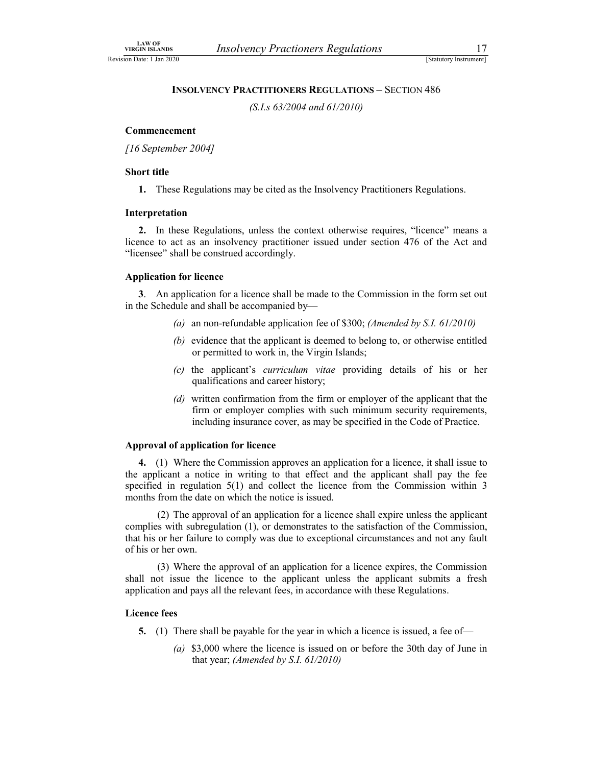# LAW OF<br>
VIRGIN ISLANDS<br>
Insolvency Practioners Regulations<br>
ISLANDS<br>
INSOLVENCY PRACTITIONERS REGULATIONS – SECTION 486<br>
(S.I.s 63/2004 and 61/2010) VIRGIN ISLANDS<br>
Revision Date: 1 Jan 2020<br> **INSOLVENCY PRACTITIONERS REGULATIONS – SECTION 486**<br>
(S.I.s 63/2004 and 61/2010) INSOLVENCY PRACTITIONERS REGULATIONS – SECTION 486

(S.I.s 63/2004 and 61/2010)

### Commencement

[16 September 2004]

### Short title

1. These Regulations may be cited as the Insolvency Practitioners Regulations.

### Interpretation

2. In these Regulations, unless the context otherwise requires, "licence" means a licence to act as an insolvency practitioner issued under section 476 of the Act and "licensee" shall be construed accordingly.

### Application for licence

3. An application for a licence shall be made to the Commission in the form set out in the Schedule and shall be accompanied by—

- (a) an non-refundable application fee of \$300; (Amended by S.I. 61/2010)
- (b) evidence that the applicant is deemed to belong to, or otherwise entitled or permitted to work in, the Virgin Islands;
- (c) the applicant's curriculum vitae providing details of his or her qualifications and career history;
- (d) written confirmation from the firm or employer of the applicant that the firm or employer complies with such minimum security requirements, including insurance cover, as may be specified in the Code of Practice.

### Approval of application for licence

4. (1) Where the Commission approves an application for a licence, it shall issue to the applicant a notice in writing to that effect and the applicant shall pay the fee specified in regulation 5(1) and collect the licence from the Commission within 3 months from the date on which the notice is issued.

 (2) The approval of an application for a licence shall expire unless the applicant complies with subregulation (1), or demonstrates to the satisfaction of the Commission, that his or her failure to comply was due to exceptional circumstances and not any fault of his or her own.

 (3) Where the approval of an application for a licence expires, the Commission shall not issue the licence to the applicant unless the applicant submits a fresh application and pays all the relevant fees, in accordance with these Regulations.

### Licence fees

- 5. (1) There shall be payable for the year in which a licence is issued, a fee of—
	- (a) \$3,000 where the licence is issued on or before the 30th day of June in that year; (Amended by S.I. 61/2010)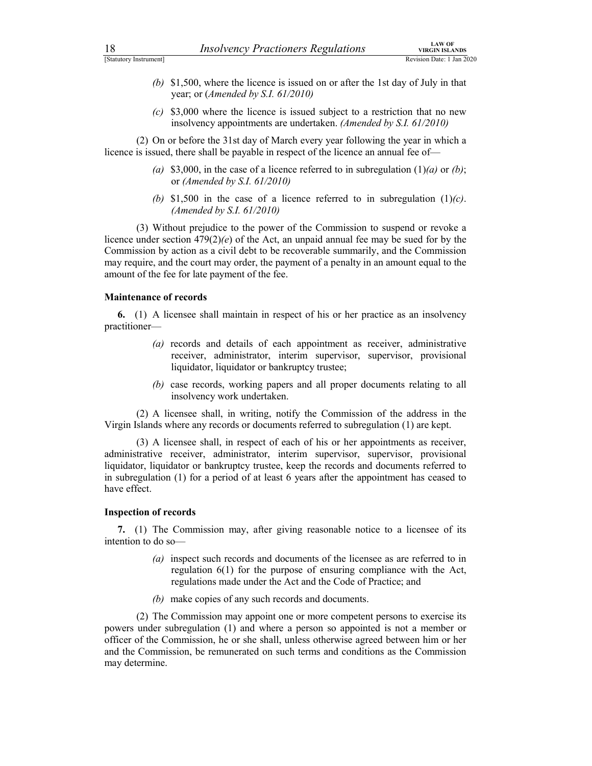- 18 *Insolvency Practioners Regulations VIRGIN DEANDS*<br>
[Statutory Instrument]<br>
(b) \$1,500, where the licence is issued on or after the 1st day of July in that<br>
year; or (*Amended by S.I. 61/2010*)<br>
(c) \$3,000 where the **EXAMPLE 18**<br> *IRSOLVERCY Practioners Regulations*<br>
(b) \$1,500, where the licence is issued on or after the 1st day of July in that<br>
year; or (*Amended by S.I. 61/2010*)<br>
(c) \$3,000 where the licence is issued subject to (b) \$1,500, where the licence is issued on or after the 1st day of July in that year; or (Amended by S.I. 61/2010)
	- $(c)$  \$3,000 where the licence is issued subject to a restriction that no new insolvency appointments are undertaken. (Amended by S.I. 61/2010)

 (2) On or before the 31st day of March every year following the year in which a licence is issued, there shall be payable in respect of the licence an annual fee of—

- (a) \$3,000, in the case of a licence referred to in subregulation (1)(a) or (b); or (Amended by S.I. 61/2010)
- (b) \$1,500 in the case of a licence referred to in subregulation  $(1)(c)$ . (Amended by S.I. 61/2010)

 (3) Without prejudice to the power of the Commission to suspend or revoke a licence under section  $479(2)(e)$  of the Act, an unpaid annual fee may be sued for by the Commission by action as a civil debt to be recoverable summarily, and the Commission may require, and the court may order, the payment of a penalty in an amount equal to the amount of the fee for late payment of the fee.

### Maintenance of records

6. (1) A licensee shall maintain in respect of his or her practice as an insolvency practitioner—

- (a) records and details of each appointment as receiver, administrative receiver, administrator, interim supervisor, supervisor, provisional liquidator, liquidator or bankruptcy trustee;
- (b) case records, working papers and all proper documents relating to all insolvency work undertaken.

 (2) A licensee shall, in writing, notify the Commission of the address in the Virgin Islands where any records or documents referred to subregulation (1) are kept.

 (3) A licensee shall, in respect of each of his or her appointments as receiver, administrative receiver, administrator, interim supervisor, supervisor, provisional liquidator, liquidator or bankruptcy trustee, keep the records and documents referred to in subregulation (1) for a period of at least 6 years after the appointment has ceased to have effect.

### Inspection of records

7. (1) The Commission may, after giving reasonable notice to a licensee of its intention to do so—

- (a) inspect such records and documents of the licensee as are referred to in regulation 6(1) for the purpose of ensuring compliance with the Act, regulations made under the Act and the Code of Practice; and
- (b) make copies of any such records and documents.

 (2) The Commission may appoint one or more competent persons to exercise its powers under subregulation (1) and where a person so appointed is not a member or officer of the Commission, he or she shall, unless otherwise agreed between him or her and the Commission, be remunerated on such terms and conditions as the Commission may determine.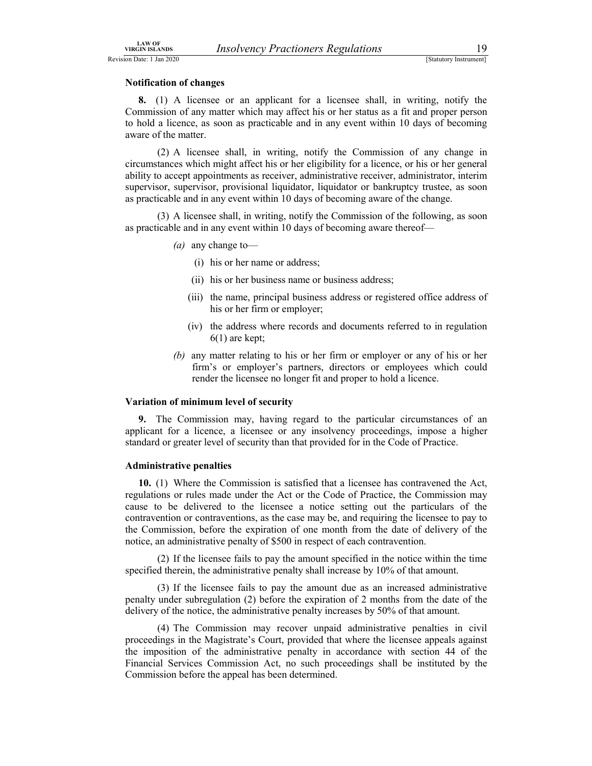### Notification of changes

LAW OF<br>
URGIN ISLANDS<br>
On Date: 1 Jan 2020<br>
IStatutory Instrument]<br> **Notification of changes**<br> **8.** (1) A licensee or an applicant for a licensee shall, in writing, notify the<br>
Commission of any matter which may affect hi EXAMPLE THE MUSIC CONSULTED THE UNION CONSULTED THE USE OF THE USE OF THE CONSULTED TRISBET OF A SAMPLE USE OF THE CONTROLLOGY OF A SAMPLE CONTROLLOGY CONTROLLOGY CONTROLLOGY AND CONTROLLOGY CONTROLLOGY CONTROLLOGY CONTRO 8. (1) A licensee or an applicant for a licensee shall, in writing, notify the Commission of any matter which may affect his or her status as a fit and proper person to hold a licence, as soon as practicable and in any event within 10 days of becoming aware of the matter.

 (2) A licensee shall, in writing, notify the Commission of any change in circumstances which might affect his or her eligibility for a licence, or his or her general ability to accept appointments as receiver, administrative receiver, administrator, interim supervisor, supervisor, provisional liquidator, liquidator or bankruptcy trustee, as soon as practicable and in any event within 10 days of becoming aware of the change.

 (3) A licensee shall, in writing, notify the Commission of the following, as soon as practicable and in any event within 10 days of becoming aware thereof—

- (*a*) any change to-
	- (i) his or her name or address;
	- (ii) his or her business name or business address;
	- (iii) the name, principal business address or registered office address of his or her firm or employer;
	- (iv) the address where records and documents referred to in regulation 6(1) are kept;
- (b) any matter relating to his or her firm or employer or any of his or her firm's or employer's partners, directors or employees which could render the licensee no longer fit and proper to hold a licence.

### Variation of minimum level of security

9. The Commission may, having regard to the particular circumstances of an applicant for a licence, a licensee or any insolvency proceedings, impose a higher standard or greater level of security than that provided for in the Code of Practice.

### Administrative penalties

10. (1) Where the Commission is satisfied that a licensee has contravened the Act, regulations or rules made under the Act or the Code of Practice, the Commission may cause to be delivered to the licensee a notice setting out the particulars of the contravention or contraventions, as the case may be, and requiring the licensee to pay to the Commission, before the expiration of one month from the date of delivery of the notice, an administrative penalty of \$500 in respect of each contravention.

 (2) If the licensee fails to pay the amount specified in the notice within the time specified therein, the administrative penalty shall increase by 10% of that amount.

 (3) If the licensee fails to pay the amount due as an increased administrative penalty under subregulation (2) before the expiration of 2 months from the date of the delivery of the notice, the administrative penalty increases by 50% of that amount.

 (4) The Commission may recover unpaid administrative penalties in civil proceedings in the Magistrate's Court, provided that where the licensee appeals against the imposition of the administrative penalty in accordance with section 44 of the Financial Services Commission Act, no such proceedings shall be instituted by the Commission before the appeal has been determined.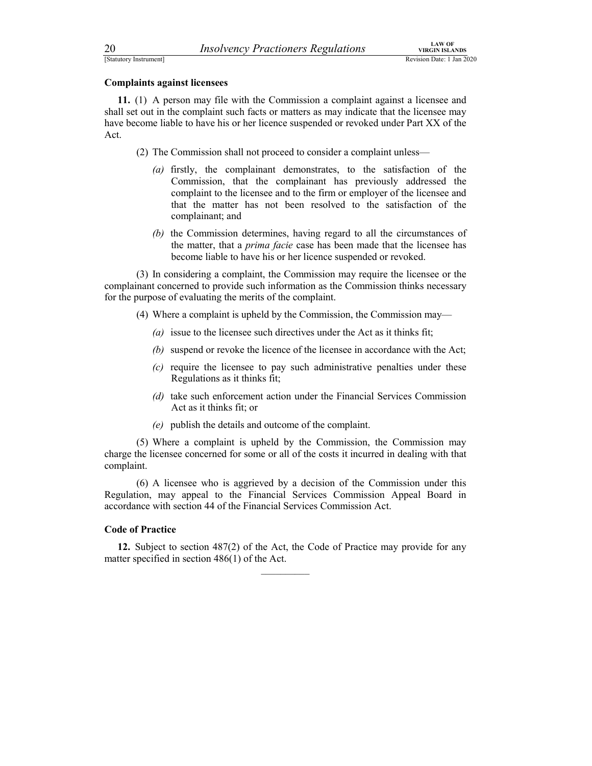20 *Insolvency Practioners Regulations* **VIRGIN ISLANDS**<br>
EStatutory Instrument]<br> **Complaints against licensees**<br> **11.** (1) A person may file with the Commission a complaint against a licensee and shall set out in the comp **EXAMPLE 1999**<br> *Revision Date: 1 Jan 2020*<br> **Complaints against licensees**<br> **11.** (1) A person may file with the Commission a complaint against a licensee and shall set out in the complaint is uch facts or matters as may 11. (1) A person may file with the Commission a complaint against a licensee and shall set out in the complaint such facts or matters as may indicate that the licensee may have become liable to have his or her licence suspended or revoked under Part XX of the Act.

- (2) The Commission shall not proceed to consider a complaint unless—
	- (a) firstly, the complainant demonstrates, to the satisfaction of the Commission, that the complainant has previously addressed the complaint to the licensee and to the firm or employer of the licensee and that the matter has not been resolved to the satisfaction of the complainant; and
	- (b) the Commission determines, having regard to all the circumstances of the matter, that a *prima facie* case has been made that the licensee has become liable to have his or her licence suspended or revoked.

 (3) In considering a complaint, the Commission may require the licensee or the complainant concerned to provide such information as the Commission thinks necessary for the purpose of evaluating the merits of the complaint.

- (4) Where a complaint is upheld by the Commission, the Commission may—
	- (a) issue to the licensee such directives under the Act as it thinks fit;
	- (b) suspend or revoke the licence of the licensee in accordance with the Act;
	- (c) require the licensee to pay such administrative penalties under these Regulations as it thinks fit;
	- (d) take such enforcement action under the Financial Services Commission Act as it thinks fit; or
	- (e) publish the details and outcome of the complaint.

 (5) Where a complaint is upheld by the Commission, the Commission may charge the licensee concerned for some or all of the costs it incurred in dealing with that complaint.

 (6) A licensee who is aggrieved by a decision of the Commission under this Regulation, may appeal to the Financial Services Commission Appeal Board in accordance with section 44 of the Financial Services Commission Act.

### Code of Practice

12. Subject to section 487(2) of the Act, the Code of Practice may provide for any matter specified in section  $486(1)$  of the Act.